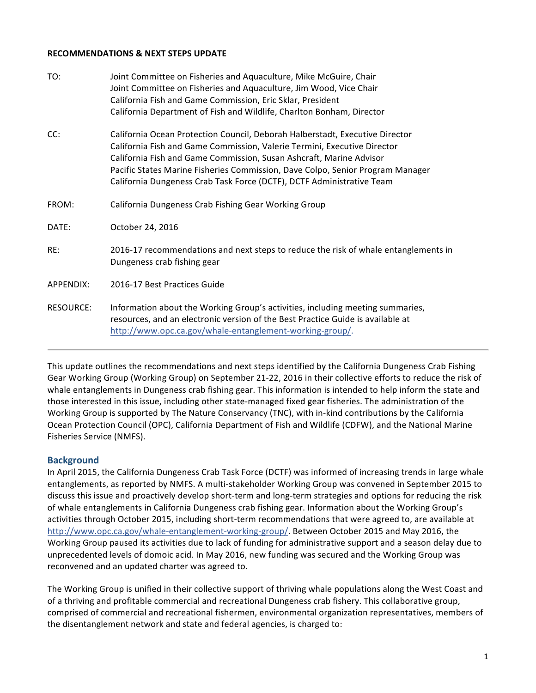### **RECOMMENDATIONS & NEXT STEPS UPDATE**

| TO:       | Joint Committee on Fisheries and Aquaculture, Mike McGuire, Chair<br>Joint Committee on Fisheries and Aquaculture, Jim Wood, Vice Chair<br>California Fish and Game Commission, Eric Sklar, President<br>California Department of Fish and Wildlife, Charlton Bonham, Director                                                                                                             |
|-----------|--------------------------------------------------------------------------------------------------------------------------------------------------------------------------------------------------------------------------------------------------------------------------------------------------------------------------------------------------------------------------------------------|
| CC:       | California Ocean Protection Council, Deborah Halberstadt, Executive Director<br>California Fish and Game Commission, Valerie Termini, Executive Director<br>California Fish and Game Commission, Susan Ashcraft, Marine Advisor<br>Pacific States Marine Fisheries Commission, Dave Colpo, Senior Program Manager<br>California Dungeness Crab Task Force (DCTF), DCTF Administrative Team |
| FROM:     | California Dungeness Crab Fishing Gear Working Group                                                                                                                                                                                                                                                                                                                                       |
| DATE:     | October 24, 2016                                                                                                                                                                                                                                                                                                                                                                           |
| RE:       | 2016-17 recommendations and next steps to reduce the risk of whale entanglements in<br>Dungeness crab fishing gear                                                                                                                                                                                                                                                                         |
| APPENDIX: | 2016-17 Best Practices Guide                                                                                                                                                                                                                                                                                                                                                               |
| RESOURCE: | Information about the Working Group's activities, including meeting summaries,<br>resources, and an electronic version of the Best Practice Guide is available at<br>http://www.opc.ca.gov/whale-entanglement-working-group/.                                                                                                                                                              |

This update outlines the recommendations and next steps identified by the California Dungeness Crab Fishing Gear Working Group (Working Group) on September 21-22, 2016 in their collective efforts to reduce the risk of whale entanglements in Dungeness crab fishing gear. This information is intended to help inform the state and those interested in this issue, including other state-managed fixed gear fisheries. The administration of the Working Group is supported by The Nature Conservancy (TNC), with in-kind contributions by the California Ocean Protection Council (OPC), California Department of Fish and Wildlife (CDFW), and the National Marine Fisheries Service (NMFS).

# **Background**

In April 2015, the California Dungeness Crab Task Force (DCTF) was informed of increasing trends in large whale entanglements, as reported by NMFS. A multi-stakeholder Working Group was convened in September 2015 to discuss this issue and proactively develop short-term and long-term strategies and options for reducing the risk of whale entanglements in California Dungeness crab fishing gear. Information about the Working Group's activities through October 2015, including short-term recommendations that were agreed to, are available at http://www.opc.ca.gov/whale-entanglement-working-group/. Between October 2015 and May 2016, the Working Group paused its activities due to lack of funding for administrative support and a season delay due to unprecedented levels of domoic acid. In May 2016, new funding was secured and the Working Group was reconvened and an updated charter was agreed to.

The Working Group is unified in their collective support of thriving whale populations along the West Coast and of a thriving and profitable commercial and recreational Dungeness crab fishery. This collaborative group, comprised of commercial and recreational fishermen, environmental organization representatives, members of the disentanglement network and state and federal agencies, is charged to: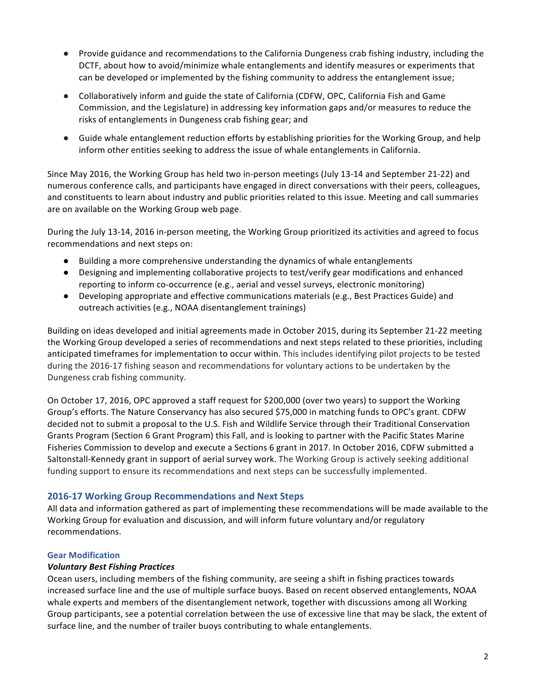- Provide guidance and recommendations to the California Dungeness crab fishing industry, including the DCTF, about how to avoid/minimize whale entanglements and identify measures or experiments that can be developed or implemented by the fishing community to address the entanglement issue;
- Collaboratively inform and guide the state of California (CDFW, OPC, California Fish and Game Commission, and the Legislature) in addressing key information gaps and/or measures to reduce the risks of entanglements in Dungeness crab fishing gear; and
- Guide whale entanglement reduction efforts by establishing priorities for the Working Group, and help inform other entities seeking to address the issue of whale entanglements in California.

Since May 2016, the Working Group has held two in-person meetings (July 13-14 and September 21-22) and numerous conference calls, and participants have engaged in direct conversations with their peers, colleagues, and constituents to learn about industry and public priorities related to this issue. Meeting and call summaries are on available on the Working Group web page.

During the July 13-14, 2016 in-person meeting, the Working Group prioritized its activities and agreed to focus recommendations and next steps on:

- Building a more comprehensive understanding the dynamics of whale entanglements
- Designing and implementing collaborative projects to test/verify gear modifications and enhanced reporting to inform co-occurrence (e.g., aerial and vessel surveys, electronic monitoring)
- Developing appropriate and effective communications materials (e.g., Best Practices Guide) and outreach activities (e.g., NOAA disentanglement trainings)

Building on ideas developed and initial agreements made in October 2015, during its September 21-22 meeting the Working Group developed a series of recommendations and next steps related to these priorities, including anticipated timeframes for implementation to occur within. This includes identifying pilot projects to be tested during the 2016-17 fishing season and recommendations for voluntary actions to be undertaken by the Dungeness crab fishing community.

On October 17, 2016, OPC approved a staff request for \$200,000 (over two years) to support the Working Group's efforts. The Nature Conservancy has also secured \$75,000 in matching funds to OPC's grant. CDFW decided not to submit a proposal to the U.S. Fish and Wildlife Service through their Traditional Conservation Grants Program (Section 6 Grant Program) this Fall, and is looking to partner with the Pacific States Marine Fisheries Commission to develop and execute a Sections 6 grant in 2017. In October 2016, CDFW submitted a Saltonstall-Kennedy grant in support of aerial survey work. The Working Group is actively seeking additional funding support to ensure its recommendations and next steps can be successfully implemented.

# **2016-17 Working Group Recommendations and Next Steps**

All data and information gathered as part of implementing these recommendations will be made available to the Working Group for evaluation and discussion, and will inform future voluntary and/or regulatory recommendations. 

### **Gear Modification**

### *Voluntary Best Fishing Practices*

Ocean users, including members of the fishing community, are seeing a shift in fishing practices towards increased surface line and the use of multiple surface buoys. Based on recent observed entanglements, NOAA whale experts and members of the disentanglement network, together with discussions among all Working Group participants, see a potential correlation between the use of excessive line that may be slack, the extent of surface line, and the number of trailer buoys contributing to whale entanglements.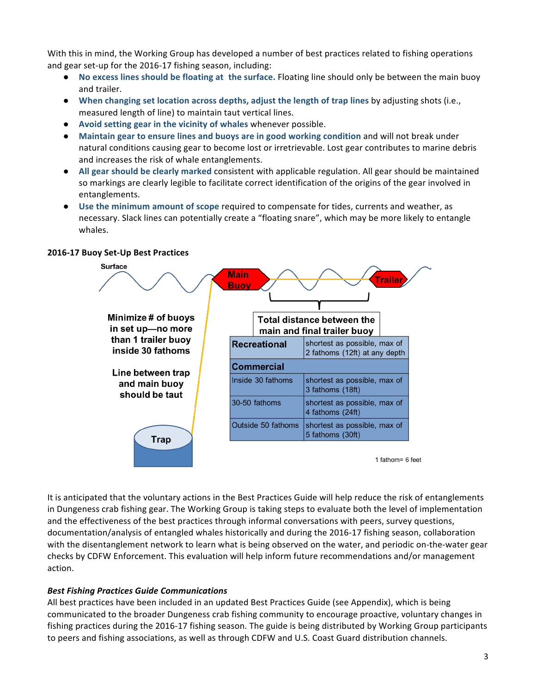With this in mind, the Working Group has developed a number of best practices related to fishing operations and gear set-up for the 2016-17 fishing season, including:

- No excess lines should be floating at the surface. Floating line should only be between the main buoy and trailer.
- **When changing set location across depths, adjust the length of trap lines by adjusting shots (i.e.,** measured length of line) to maintain taut vertical lines.
- **•** Avoid setting gear in the vicinity of whales whenever possible.
- Maintain gear to ensure lines and buoys are in good working condition and will not break under natural conditions causing gear to become lost or irretrievable. Lost gear contributes to marine debris and increases the risk of whale entanglements.
- All gear should be clearly marked consistent with applicable regulation. All gear should be maintained so markings are clearly legible to facilitate correct identification of the origins of the gear involved in entanglements.
- **•** Use the minimum amount of scope required to compensate for tides, currents and weather, as necessary. Slack lines can potentially create a "floating snare", which may be more likely to entangle whales.

## **2016-17 Buoy Set-Up Best Practices**



It is anticipated that the voluntary actions in the Best Practices Guide will help reduce the risk of entanglements in Dungeness crab fishing gear. The Working Group is taking steps to evaluate both the level of implementation and the effectiveness of the best practices through informal conversations with peers, survey questions, documentation/analysis of entangled whales historically and during the 2016-17 fishing season, collaboration with the disentanglement network to learn what is being observed on the water, and periodic on-the-water gear checks by CDFW Enforcement. This evaluation will help inform future recommendations and/or management action.

# *Best Fishing Practices Guide Communications*

All best practices have been included in an updated Best Practices Guide (see Appendix), which is being communicated to the broader Dungeness crab fishing community to encourage proactive, voluntary changes in fishing practices during the 2016-17 fishing season. The guide is being distributed by Working Group participants to peers and fishing associations, as well as through CDFW and U.S. Coast Guard distribution channels.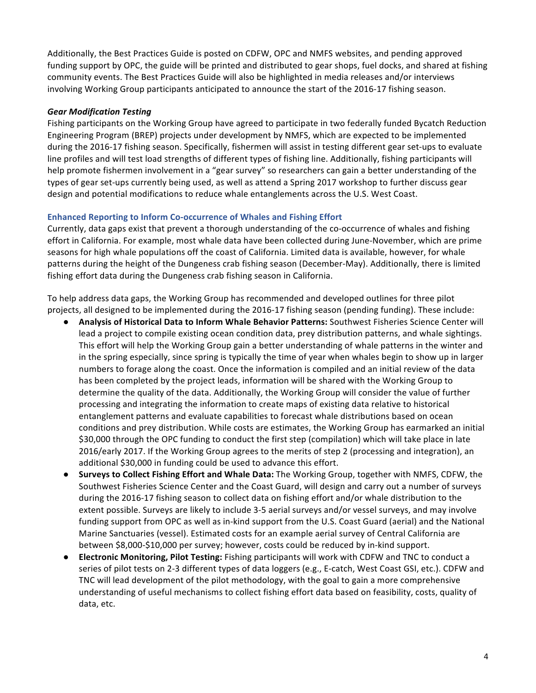Additionally, the Best Practices Guide is posted on CDFW, OPC and NMFS websites, and pending approved funding support by OPC, the guide will be printed and distributed to gear shops, fuel docks, and shared at fishing community events. The Best Practices Guide will also be highlighted in media releases and/or interviews involving Working Group participants anticipated to announce the start of the 2016-17 fishing season.

### *Gear Modification Testing*

Fishing participants on the Working Group have agreed to participate in two federally funded Bycatch Reduction Engineering Program (BREP) projects under development by NMFS, which are expected to be implemented during the 2016-17 fishing season. Specifically, fishermen will assist in testing different gear set-ups to evaluate line profiles and will test load strengths of different types of fishing line. Additionally, fishing participants will help promote fishermen involvement in a "gear survey" so researchers can gain a better understanding of the types of gear set-ups currently being used, as well as attend a Spring 2017 workshop to further discuss gear design and potential modifications to reduce whale entanglements across the U.S. West Coast.

### **Enhanced Reporting to Inform Co-occurrence of Whales and Fishing Effort**

Currently, data gaps exist that prevent a thorough understanding of the co-occurrence of whales and fishing effort in California. For example, most whale data have been collected during June-November, which are prime seasons for high whale populations off the coast of California. Limited data is available, however, for whale patterns during the height of the Dungeness crab fishing season (December-May). Additionally, there is limited fishing effort data during the Dungeness crab fishing season in California.

To help address data gaps, the Working Group has recommended and developed outlines for three pilot projects, all designed to be implemented during the 2016-17 fishing season (pending funding). These include:

- Analysis of Historical Data to Inform Whale Behavior Patterns: Southwest Fisheries Science Center will lead a project to compile existing ocean condition data, prey distribution patterns, and whale sightings. This effort will help the Working Group gain a better understanding of whale patterns in the winter and in the spring especially, since spring is typically the time of year when whales begin to show up in larger numbers to forage along the coast. Once the information is compiled and an initial review of the data has been completed by the project leads, information will be shared with the Working Group to determine the quality of the data. Additionally, the Working Group will consider the value of further processing and integrating the information to create maps of existing data relative to historical entanglement patterns and evaluate capabilities to forecast whale distributions based on ocean conditions and prey distribution. While costs are estimates, the Working Group has earmarked an initial \$30,000 through the OPC funding to conduct the first step (compilation) which will take place in late 2016/early 2017. If the Working Group agrees to the merits of step 2 (processing and integration), an additional \$30,000 in funding could be used to advance this effort.
- **•** Surveys to Collect Fishing Effort and Whale Data: The Working Group, together with NMFS, CDFW, the Southwest Fisheries Science Center and the Coast Guard, will design and carry out a number of surveys during the 2016-17 fishing season to collect data on fishing effort and/or whale distribution to the extent possible. Surveys are likely to include 3-5 aerial surveys and/or vessel surveys, and may involve funding support from OPC as well as in-kind support from the U.S. Coast Guard (aerial) and the National Marine Sanctuaries (vessel). Estimated costs for an example aerial survey of Central California are between \$8,000-\$10,000 per survey; however, costs could be reduced by in-kind support.
- **Electronic Monitoring, Pilot Testing:** Fishing participants will work with CDFW and TNC to conduct a series of pilot tests on 2-3 different types of data loggers (e.g., E-catch, West Coast GSI, etc.). CDFW and TNC will lead development of the pilot methodology, with the goal to gain a more comprehensive understanding of useful mechanisms to collect fishing effort data based on feasibility, costs, quality of data, etc.